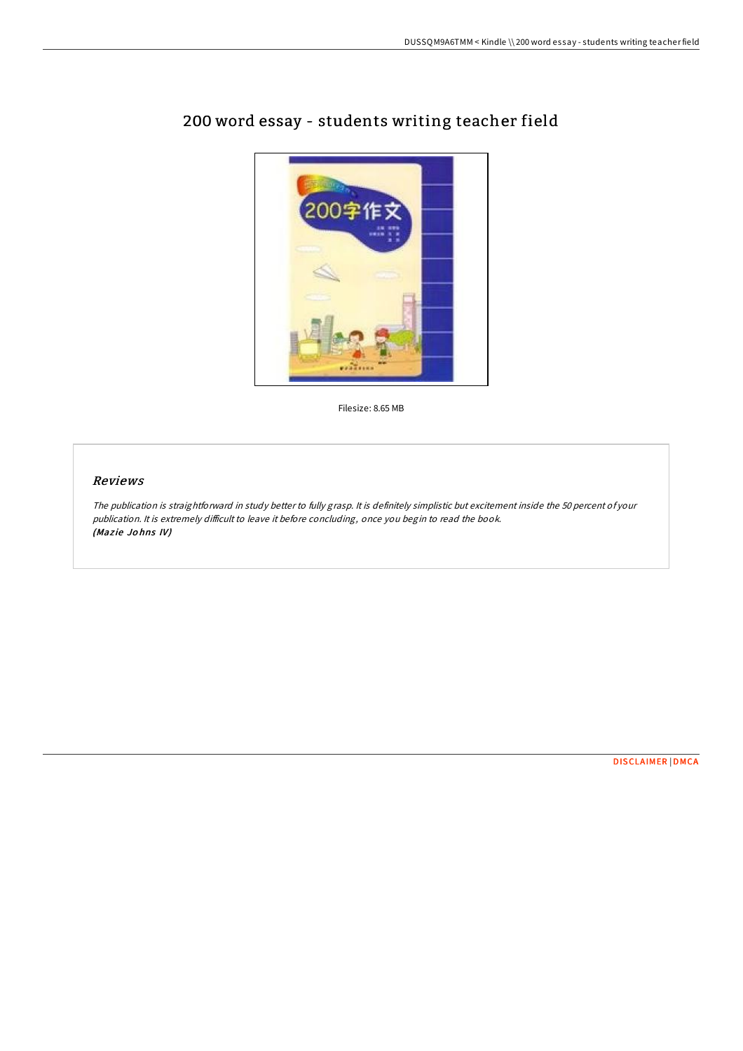

## 200 word essay - students writing teacher field

Filesize: 8.65 MB

## Reviews

The publication is straightforward in study better to fully grasp. It is definitely simplistic but excitement inside the 50 percent of your publication. It is extremely difficult to leave it before concluding, once you begin to read the book. (Mazie Johns IV)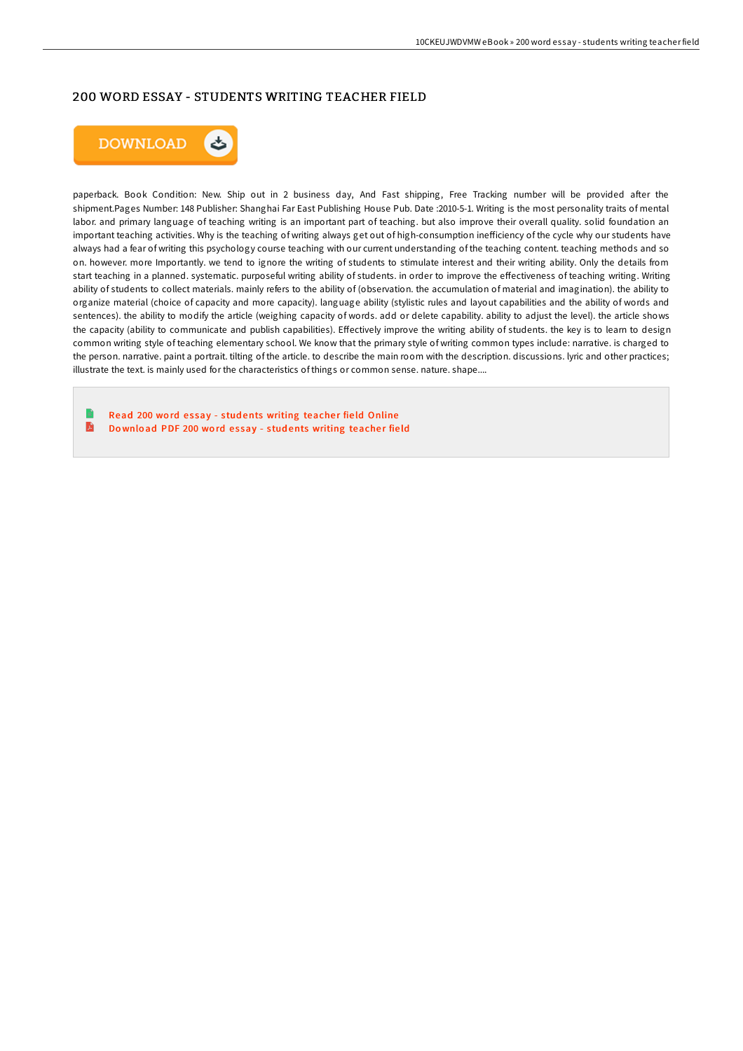## 200 WORD ESSAY - STUDENTS WRITING TEACHER FIELD



paperback. Book Condition: New. Ship out in 2 business day, And Fast shipping, Free Tracking number will be provided after the shipment.Pages Number: 148 Publisher: Shanghai Far East Publishing House Pub. Date :2010-5-1. Writing is the most personality traits of mental labor. and primary language of teaching writing is an important part of teaching. but also improve their overall quality. solid foundation an important teaching activities. Why is the teaching of writing always get out of high-consumption inefficiency of the cycle why our students have always had a fear of writing this psychology course teaching with our current understanding of the teaching content. teaching methods and so on. however. more Importantly. we tend to ignore the writing of students to stimulate interest and their writing ability. Only the details from start teaching in a planned. systematic. purposeful writing ability of students. in order to improve the effectiveness of teaching writing. Writing ability of students to collect materials. mainly refers to the ability of (observation. the accumulation of material and imagination). the ability to organize material (choice of capacity and more capacity). language ability (stylistic rules and layout capabilities and the ability of words and sentences). the ability to modify the article (weighing capacity of words. add or delete capability. ability to adjust the level). the article shows the capacity (ability to communicate and publish capabilities). Effectively improve the writing ability of students, the key is to learn to design common writing style of teaching elementary school. We know that the primary style of writing common types include: narrative. is charged to the person. narrative. paint a portrait. tilting of the article. to describe the main room with the description. discussions. lyric and other practices; illustrate the text. is mainly used for the characteristics of things or common sense. nature. shape....

Read 200 word essay - students [writing](http://almighty24.tech/200-word-essay-students-writing-teacher-field.html) teacher field Online E Do wnload PDF 200 word essay - students [writing](http://almighty24.tech/200-word-essay-students-writing-teacher-field.html) teacher field